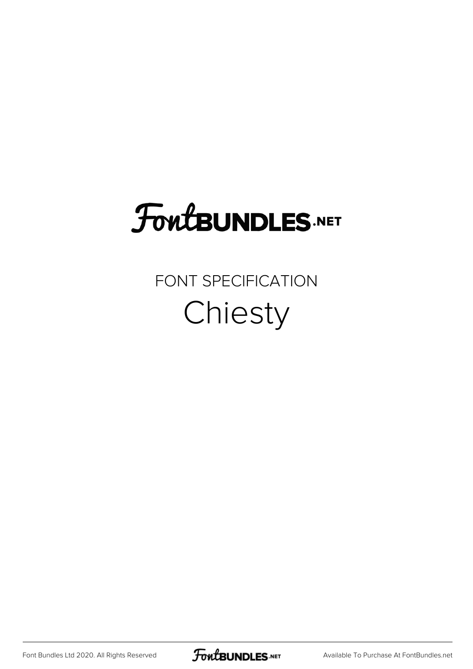## FoutBUNDLES.NET

FONT SPECIFICATION Chiesty

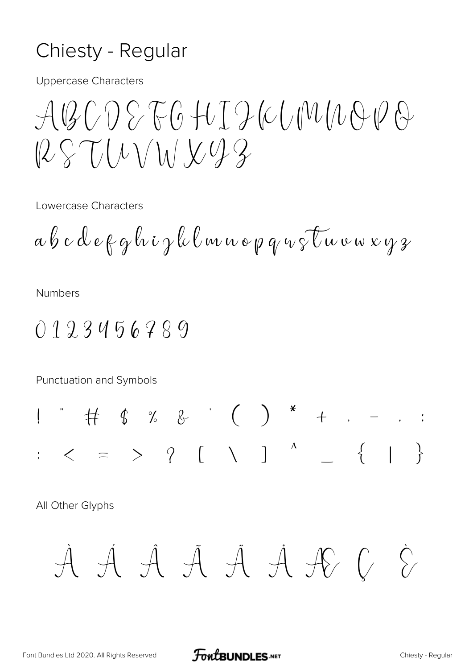## Chiesty - Regular

**Uppercase Characters** 

 $\mathcal{A}\mathcal{Q}\mathcal{C}\cap\mathcal{S}\mathcal{F}\mathcal{G}\mathcal{H}I\mathcal{D}\mathcal{C}\mathcal{C}\mathcal{N}\mathcal{N}\mathcal{A}\mathcal{D}\mathcal{G}$  $125 T11111292$ 

Lowercase Characters

$$
a \not b \ c \ d \ e \not \in g \not \& \ i \not \jmath \not \& \ell \, \& \, \omega \, \omega \, \phi \, \phi \, \neg \sqrt[3]{\iota \omega \, \omega \, \omega \, \omega \, \gamma \, \gamma \,}
$$

**Numbers** 

0123456789

Punctuation and Symbols

All Other Glyphs

$$
\dot{\mathcal{A}}\dot{\mathcal{A}}\dot{\mathcal{A}}\dot{\mathcal{A}}\dot{\mathcal{A}}\dot{\mathcal{A}}\dot{\mathcal{A}}\dot{\mathcal{K}}\dot{\mathcal{G}}
$$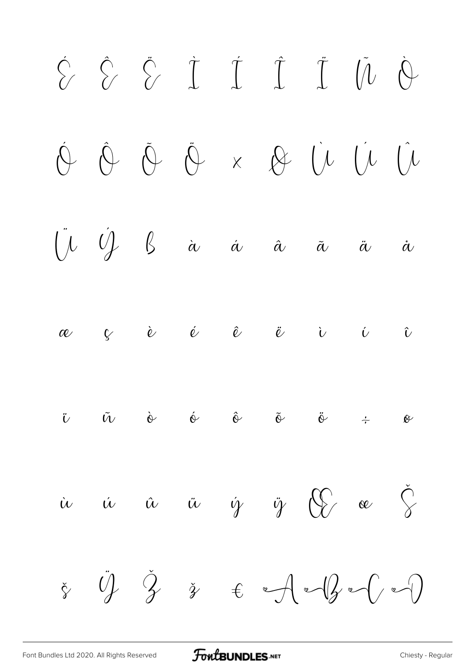